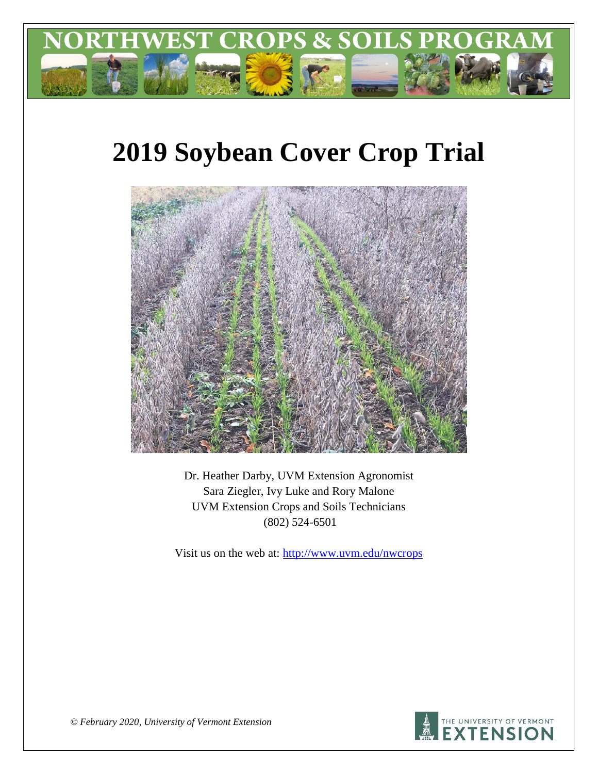

# **2019 Soybean Cover Crop Trial**



Dr. Heather Darby, UVM Extension Agronomist Sara Ziegler, Ivy Luke and Rory Malone UVM Extension Crops and Soils Technicians (802) 524-6501

Visit us on the web at: <http://www.uvm.edu/nwcrops>



*© February 2020, University of Vermont Extension*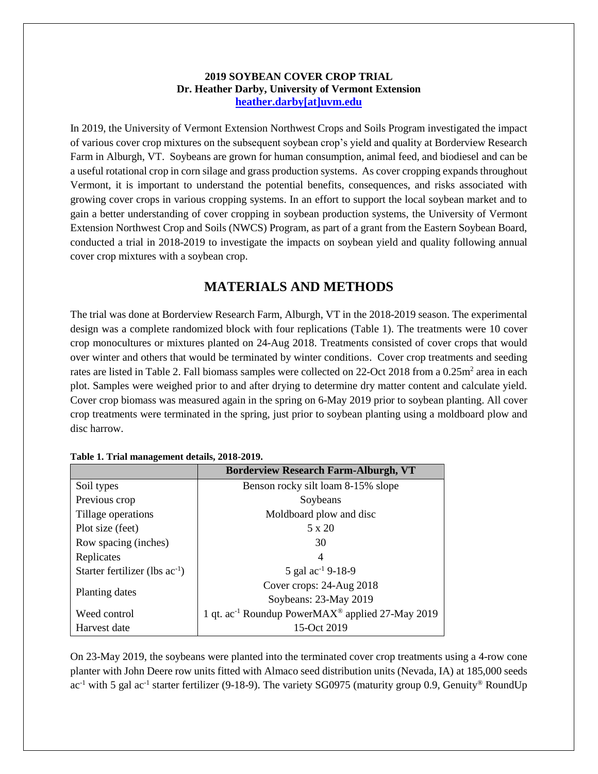#### **2019 SOYBEAN COVER CROP TRIAL Dr. Heather Darby, University of Vermont Extension [heather.darby\[at\]uvm.edu](mailto:heather.darby@uvm.edu?subject=2012%20Short%20Season%20Corn%20Report)**

In 2019, the University of Vermont Extension Northwest Crops and Soils Program investigated the impact of various cover crop mixtures on the subsequent soybean crop's yield and quality at Borderview Research Farm in Alburgh, VT. Soybeans are grown for human consumption, animal feed, and biodiesel and can be a useful rotational crop in corn silage and grass production systems. As cover cropping expands throughout Vermont, it is important to understand the potential benefits, consequences, and risks associated with growing cover crops in various cropping systems. In an effort to support the local soybean market and to gain a better understanding of cover cropping in soybean production systems, the University of Vermont Extension Northwest Crop and Soils (NWCS) Program, as part of a grant from the Eastern Soybean Board, conducted a trial in 2018-2019 to investigate the impacts on soybean yield and quality following annual cover crop mixtures with a soybean crop.

# **MATERIALS AND METHODS**

The trial was done at Borderview Research Farm, Alburgh, VT in the 2018-2019 season. The experimental design was a complete randomized block with four replications (Table 1). The treatments were 10 cover crop monocultures or mixtures planted on 24-Aug 2018. Treatments consisted of cover crops that would over winter and others that would be terminated by winter conditions. Cover crop treatments and seeding rates are listed in Table 2. Fall biomass samples were collected on 22-Oct 2018 from a 0.25m<sup>2</sup> area in each plot. Samples were weighed prior to and after drying to determine dry matter content and calculate yield. Cover crop biomass was measured again in the spring on 6-May 2019 prior to soybean planting. All cover crop treatments were terminated in the spring, just prior to soybean planting using a moldboard plow and disc harrow.

|                                     | <b>Borderview Research Farm-Alburgh, VT</b>                              |
|-------------------------------------|--------------------------------------------------------------------------|
| Soil types                          | Benson rocky silt loam 8-15% slope                                       |
| Previous crop                       | Soybeans                                                                 |
| Tillage operations                  | Moldboard plow and disc                                                  |
| Plot size (feet)                    | 5 x 20                                                                   |
| Row spacing (inches)                | 30                                                                       |
| Replicates                          | 4                                                                        |
| Starter fertilizer (lbs $ac^{-1}$ ) | 5 gal $\text{ac}^{-1}$ 9-18-9                                            |
|                                     | Cover crops: 24-Aug 2018                                                 |
| Planting dates                      | Soybeans: 23-May 2019                                                    |
| Weed control                        | 1 qt. ac <sup>-1</sup> Roundup PowerMAX <sup>®</sup> applied 27-May 2019 |
| Harvest date                        | 15-Oct 2019                                                              |

|  | Table 1. Trial management details, 2018-2019. |  |
|--|-----------------------------------------------|--|
|  |                                               |  |

On 23-May 2019, the soybeans were planted into the terminated cover crop treatments using a 4-row cone planter with John Deere row units fitted with Almaco seed distribution units (Nevada, IA) at 185,000 seeds ac<sup>-1</sup> with 5 gal ac<sup>-1</sup> starter fertilizer (9-18-9). The variety SG0975 (maturity group 0.9, Genuity® RoundUp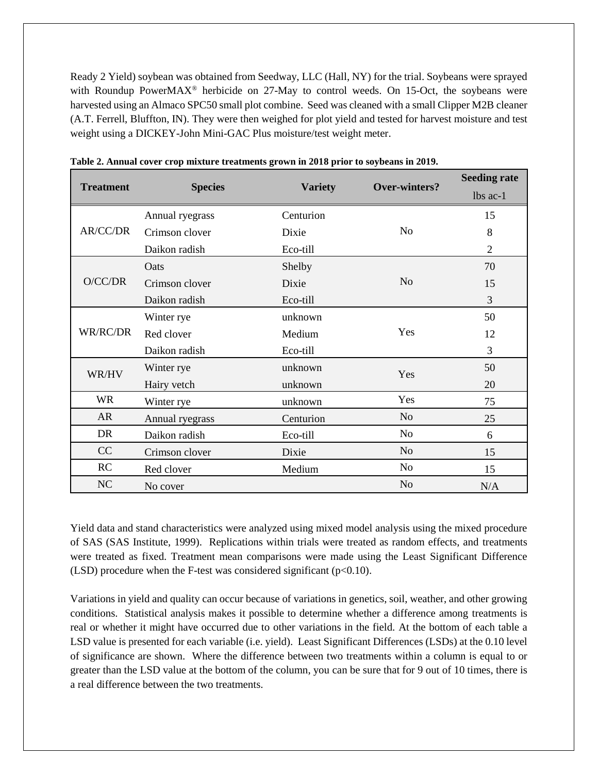Ready 2 Yield) soybean was obtained from Seedway, LLC (Hall, NY) for the trial. Soybeans were sprayed with Roundup PowerMAX<sup>®</sup> herbicide on 27-May to control weeds. On 15-Oct, the soybeans were harvested using an Almaco SPC50 small plot combine. Seed was cleaned with a small Clipper M2B cleaner (A.T. Ferrell, Bluffton, IN). They were then weighed for plot yield and tested for harvest moisture and test weight using a DICKEY-John Mini-GAC Plus moisture/test weight meter.

|                  |                 |                |                | <b>Seeding rate</b> |
|------------------|-----------------|----------------|----------------|---------------------|
| <b>Treatment</b> | <b>Species</b>  | <b>Variety</b> | Over-winters?  | lbs ac-1            |
|                  | Annual ryegrass | Centurion      |                | 15                  |
| AR/CC/DR         | Crimson clover  | Dixie          | N <sub>0</sub> | 8                   |
|                  | Daikon radish   | Eco-till       |                | $\overline{2}$      |
|                  | Oats            | Shelby         |                | 70                  |
| O/CC/DR          | Crimson clover  | Dixie          | N <sub>o</sub> | 15                  |
|                  | Daikon radish   | Eco-till       |                | 3                   |
|                  | Winter rye      | unknown        |                | 50                  |
| WR/RC/DR         | Red clover      | Medium         | Yes            | 12                  |
|                  | Daikon radish   | Eco-till       |                | 3                   |
| WR/HV            | Winter rye      | unknown        | Yes            | 50                  |
|                  | Hairy vetch     | unknown        |                | 20                  |
| <b>WR</b>        | Winter rye      | unknown        | Yes            | 75                  |
| AR               | Annual ryegrass | Centurion      | N <sub>o</sub> | 25                  |
| DR               | Daikon radish   | Eco-till       | N <sub>o</sub> | 6                   |
| CC               | Crimson clover  | Dixie          | N <sub>o</sub> | 15                  |
| RC               | Red clover      | Medium         | N <sub>o</sub> | 15                  |
| NC               | No cover        |                | N <sub>o</sub> | N/A                 |

| Table 2. Annual cover crop mixture treatments grown in 2018 prior to soybeans in 2019. |  |  |  |  |
|----------------------------------------------------------------------------------------|--|--|--|--|
|----------------------------------------------------------------------------------------|--|--|--|--|

Yield data and stand characteristics were analyzed using mixed model analysis using the mixed procedure of SAS (SAS Institute, 1999). Replications within trials were treated as random effects, and treatments were treated as fixed. Treatment mean comparisons were made using the Least Significant Difference (LSD) procedure when the F-test was considered significant ( $p<0.10$ ).

Variations in yield and quality can occur because of variations in genetics, soil, weather, and other growing conditions. Statistical analysis makes it possible to determine whether a difference among treatments is real or whether it might have occurred due to other variations in the field. At the bottom of each table a LSD value is presented for each variable (i.e. yield). Least Significant Differences (LSDs) at the 0.10 level of significance are shown. Where the difference between two treatments within a column is equal to or greater than the LSD value at the bottom of the column, you can be sure that for 9 out of 10 times, there is a real difference between the two treatments.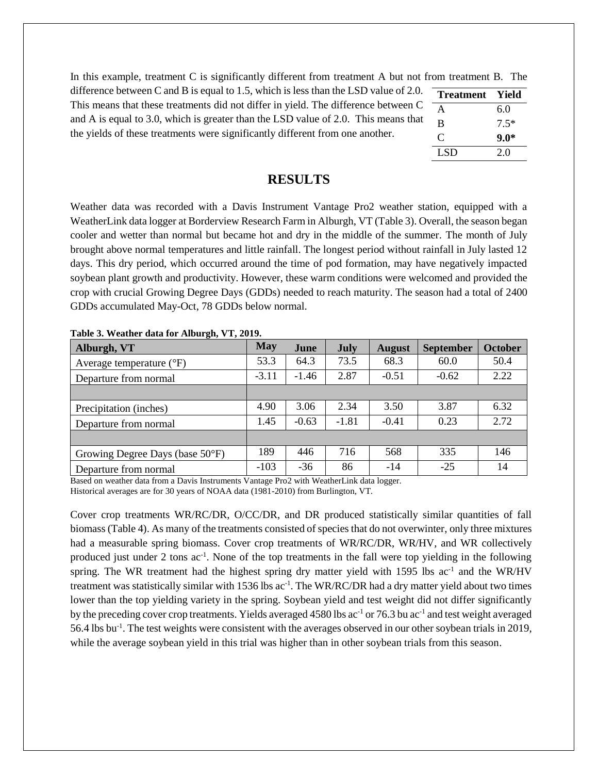In this example, treatment C is significantly different from treatment A but not from treatment B. The

difference between C and B is equal to 1.5, which is less than the LSD value of 2.0. This means that these treatments did not differ in yield. The difference between C and A is equal to 3.0, which is greater than the LSD value of 2.0. This means that the yields of these treatments were significantly different from one another.

| <b>Treatment</b> | Yield  |
|------------------|--------|
| A                | 6.0    |
| B                | $7.5*$ |
| C                | $9.0*$ |
| LSD.             | 2.0    |

## **RESULTS**

Weather data was recorded with a Davis Instrument Vantage Pro2 weather station, equipped with a WeatherLink data logger at Borderview Research Farm in Alburgh, VT (Table 3). Overall, the season began cooler and wetter than normal but became hot and dry in the middle of the summer. The month of July brought above normal temperatures and little rainfall. The longest period without rainfall in July lasted 12 days. This dry period, which occurred around the time of pod formation, may have negatively impacted soybean plant growth and productivity. However, these warm conditions were welcomed and provided the crop with crucial Growing Degree Days (GDDs) needed to reach maturity. The season had a total of 2400 GDDs accumulated May-Oct, 78 GDDs below normal.

| $\bullet$<br>Alburgh, VT            | <b>May</b> | June    | <b>July</b> | <b>August</b> | <b>September</b> | <b>October</b> |
|-------------------------------------|------------|---------|-------------|---------------|------------------|----------------|
| Average temperature $({}^{\circ}F)$ | 53.3       | 64.3    | 73.5        | 68.3          | 60.0             | 50.4           |
| Departure from normal               | $-3.11$    | $-1.46$ | 2.87        | $-0.51$       | $-0.62$          | 2.22           |
|                                     |            |         |             |               |                  |                |
| Precipitation (inches)              | 4.90       | 3.06    | 2.34        | 3.50          | 3.87             | 6.32           |
| Departure from normal               | 1.45       | $-0.63$ | $-1.81$     | $-0.41$       | 0.23             | 2.72           |
|                                     |            |         |             |               |                  |                |
| Growing Degree Days (base 50°F)     | 189        | 446     | 716         | 568           | 335              | 146            |
| Departure from normal               | $-103$     | $-36$   | 86          | $-14$         | $-25$            | 14             |

**Table 3. Weather data for Alburgh, VT, 2019.**

Based on weather data from a Davis Instruments Vantage Pro2 with WeatherLink data logger. Historical averages are for 30 years of NOAA data (1981-2010) from Burlington, VT.

Cover crop treatments WR/RC/DR, O/CC/DR, and DR produced statistically similar quantities of fall biomass (Table 4). As many of the treatments consisted of species that do not overwinter, only three mixtures had a measurable spring biomass. Cover crop treatments of WR/RC/DR, WR/HV, and WR collectively produced just under 2 tons ac<sup>-1</sup>. None of the top treatments in the fall were top yielding in the following spring. The WR treatment had the highest spring dry matter yield with 1595 lbs ac<sup>-1</sup> and the WR/HV treatment was statistically similar with 1536 lbs ac<sup>-1</sup>. The WR/RC/DR had a dry matter yield about two times lower than the top yielding variety in the spring. Soybean yield and test weight did not differ significantly by the preceding cover crop treatments. Yields averaged 4580 lbs ac<sup>-1</sup> or 76.3 bu ac<sup>-1</sup> and test weight averaged 56.4 lbs bu<sup>-1</sup>. The test weights were consistent with the averages observed in our other soybean trials in 2019, while the average soybean yield in this trial was higher than in other soybean trials from this season.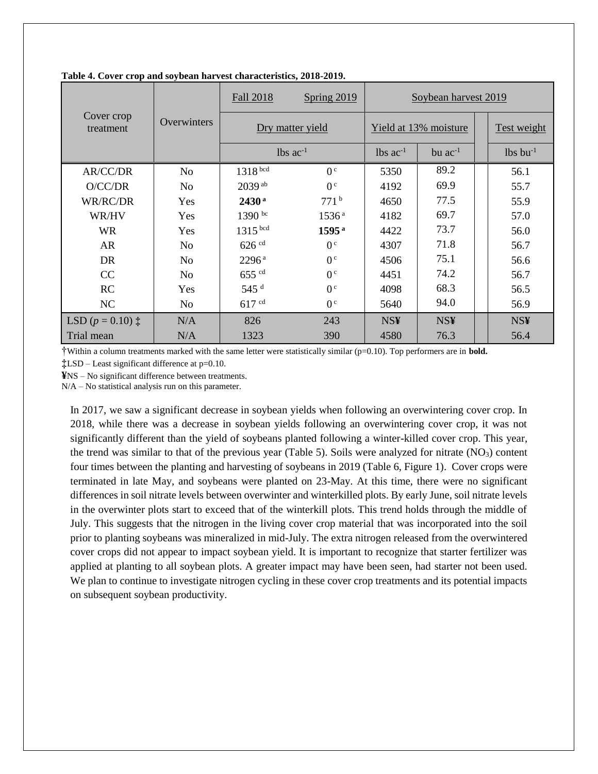|                             |                | Fall 2018            | Spring $2019$          | Soybean harvest 2019   |              |  |                        |
|-----------------------------|----------------|----------------------|------------------------|------------------------|--------------|--|------------------------|
| Cover crop<br>treatment     | Overwinters    | Dry matter yield     |                        | Yield at 13% moisture  |              |  | Test weight            |
|                             |                |                      | $lbs$ ac <sup>-1</sup> | $lbs$ ac <sup>-1</sup> | bu $ac^{-1}$ |  | $lbs$ bu <sup>-1</sup> |
| AR/CC/DR                    | N <sub>o</sub> | 1318 bcd             | 0 <sup>c</sup>         | 5350                   | 89.2         |  | 56.1                   |
| O/CC/DR                     | N <sub>0</sub> | $2039$ <sup>ab</sup> | 0 <sup>c</sup>         | 4192                   | 69.9         |  | 55.7                   |
| WR/RC/DR                    | Yes            | $2430^{\rm a}$       | 771 <sup>b</sup>       | 4650                   | 77.5         |  | 55.9                   |
| WR/HV                       | Yes            | $1390 \text{ bc}$    | 1536 <sup>a</sup>      | 4182                   | 69.7         |  | 57.0                   |
| <b>WR</b>                   | Yes            | $1315$ bcd           | $1595^{\rm a}$         | 4422                   | 73.7         |  | 56.0                   |
| <b>AR</b>                   | N <sub>o</sub> | $626$ $cd$           | 0 <sup>c</sup>         | 4307                   | 71.8         |  | 56.7                   |
| DR.                         | No.            | $2296^{\rm a}$       | 0 <sup>c</sup>         | 4506                   | 75.1         |  | 56.6                   |
| CC                          | N <sub>o</sub> | $655$ cd             | 0 <sup>c</sup>         | 4451                   | 74.2         |  | 56.7                   |
| RC                          | Yes            | $545$ <sup>d</sup>   | 0 <sup>c</sup>         | 4098                   | 68.3         |  | 56.5                   |
| NC                          | No.            | $617$ cd             | 0 <sup>c</sup>         | 5640                   | 94.0         |  | 56.9                   |
| LSD $(p = 0.10)$ $\ddagger$ | N/A            | 826                  | 243                    | <b>NS¥</b>             | <b>NS¥</b>   |  | <b>NS¥</b>             |
| Trial mean                  | N/A            | 1323                 | 390                    | 4580                   | 76.3         |  | 56.4                   |

**Table 4. Cover crop and soybean harvest characteristics, 2018-2019.**

†Within a column treatments marked with the same letter were statistically similar (p=0.10). Top performers are in **bold.** 

**‡**LSD – Least significant difference at p=0.10.

**¥**NS – No significant difference between treatments.

N/A – No statistical analysis run on this parameter.

In 2017, we saw a significant decrease in soybean yields when following an overwintering cover crop. In 2018, while there was a decrease in soybean yields following an overwintering cover crop, it was not significantly different than the yield of soybeans planted following a winter-killed cover crop. This year, the trend was similar to that of the previous year (Table 5). Soils were analyzed for nitrate  $(NO<sub>3</sub>)$  content four times between the planting and harvesting of soybeans in 2019 (Table 6, Figure 1). Cover crops were terminated in late May, and soybeans were planted on 23-May. At this time, there were no significant differences in soil nitrate levels between overwinter and winterkilled plots. By early June, soil nitrate levels in the overwinter plots start to exceed that of the winterkill plots. This trend holds through the middle of July. This suggests that the nitrogen in the living cover crop material that was incorporated into the soil prior to planting soybeans was mineralized in mid-July. The extra nitrogen released from the overwintered cover crops did not appear to impact soybean yield. It is important to recognize that starter fertilizer was applied at planting to all soybean plots. A greater impact may have been seen, had starter not been used. We plan to continue to investigate nitrogen cycling in these cover crop treatments and its potential impacts on subsequent soybean productivity.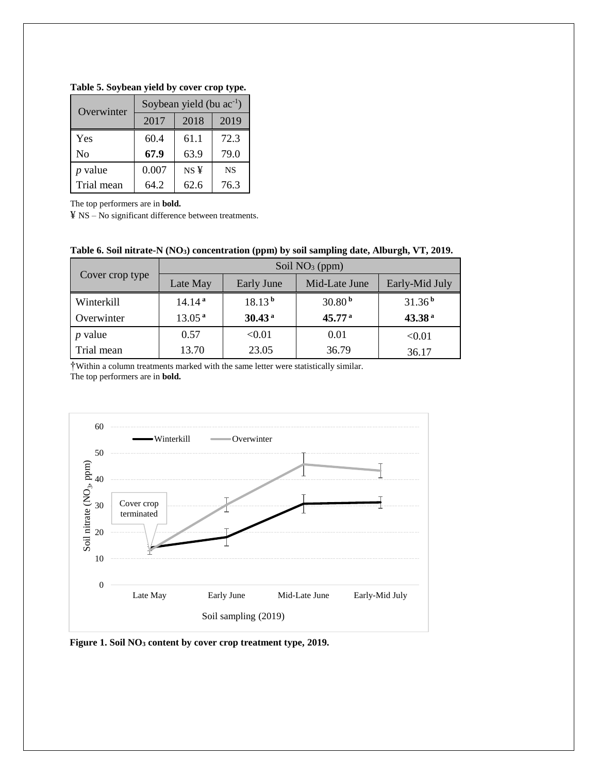| Table 5. Soybean yield by cover crop type. |  |  |  |  |
|--------------------------------------------|--|--|--|--|
|--------------------------------------------|--|--|--|--|

| Overwinter     | Soybean yield (bu $ac^{-1}$ ) |                 |           |  |  |
|----------------|-------------------------------|-----------------|-----------|--|--|
|                | 2017<br>2018                  |                 | 2019      |  |  |
| Yes            | 60.4                          | 61.1            | 72.3      |  |  |
| No             | 67.9                          | 63.9            | 79.0      |  |  |
| <i>p</i> value | 0.007                         | NS <sup>Y</sup> | <b>NS</b> |  |  |
| Trial mean     | 64.2                          | 62.6            | 76.3      |  |  |

The top performers are in **bold.**

¥ NS – No significant difference between treatments.

|                 | Soil $NO3$ (ppm)   |                    |                    |                    |  |  |
|-----------------|--------------------|--------------------|--------------------|--------------------|--|--|
| Cover crop type | Late May           | Early June         | Mid-Late June      | Early-Mid July     |  |  |
| Winterkill      | 14.14 <sup>a</sup> | 18.13 <sup>b</sup> | 30.80 <sup>b</sup> | 31.36 <sup>b</sup> |  |  |
| Overwinter      | 13.05 <sup>a</sup> | 30.43 <sup>a</sup> | 45.77 <sup>a</sup> | 43.38 <sup>a</sup> |  |  |
| $p$ value       | 0.57               | < 0.01             | 0.01               | < 0.01             |  |  |
| Trial mean      | 13.70              | 23.05              | 36.79              | 36.17              |  |  |

†Within a column treatments marked with the same letter were statistically similar. The top performers are in **bold.**



**Figure 1. Soil NO<sup>3</sup> content by cover crop treatment type, 2019.**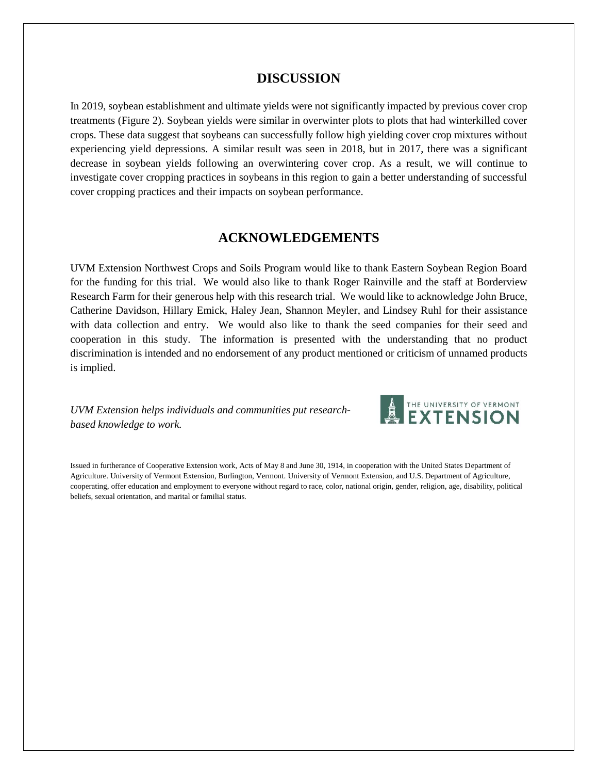#### **DISCUSSION**

In 2019, soybean establishment and ultimate yields were not significantly impacted by previous cover crop treatments (Figure 2). Soybean yields were similar in overwinter plots to plots that had winterkilled cover crops. These data suggest that soybeans can successfully follow high yielding cover crop mixtures without experiencing yield depressions. A similar result was seen in 2018, but in 2017, there was a significant decrease in soybean yields following an overwintering cover crop. As a result, we will continue to investigate cover cropping practices in soybeans in this region to gain a better understanding of successful cover cropping practices and their impacts on soybean performance.

### **ACKNOWLEDGEMENTS**

UVM Extension Northwest Crops and Soils Program would like to thank Eastern Soybean Region Board for the funding for this trial. We would also like to thank Roger Rainville and the staff at Borderview Research Farm for their generous help with this research trial. We would like to acknowledge John Bruce, Catherine Davidson, Hillary Emick, Haley Jean, Shannon Meyler, and Lindsey Ruhl for their assistance with data collection and entry. We would also like to thank the seed companies for their seed and cooperation in this study. The information is presented with the understanding that no product discrimination is intended and no endorsement of any product mentioned or criticism of unnamed products is implied.

*UVM Extension helps individuals and communities put researchbased knowledge to work.*



Issued in furtherance of Cooperative Extension work, Acts of May 8 and June 30, 1914, in cooperation with the United States Department of Agriculture. University of Vermont Extension, Burlington, Vermont. University of Vermont Extension, and U.S. Department of Agriculture, cooperating, offer education and employment to everyone without regard to race, color, national origin, gender, religion, age, disability, political beliefs, sexual orientation, and marital or familial status.